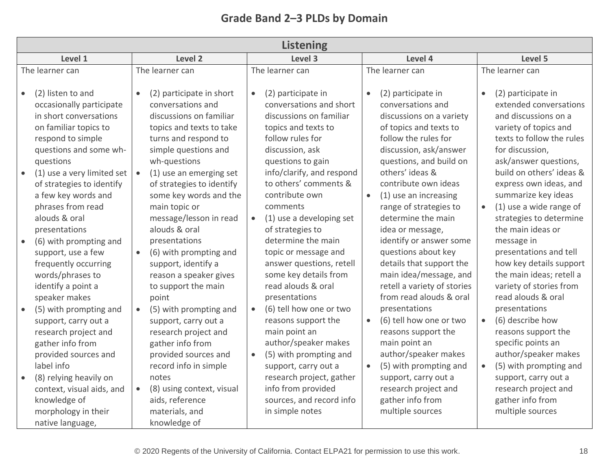| Grade Band 2-3 PLDs by Domain |  |  |  |  |
|-------------------------------|--|--|--|--|
|-------------------------------|--|--|--|--|

| <b>Listening</b>                                                                                                                                                                                                                                                                                                                                                                                                                                                                                                                                                                                                                                 |                                                                                                                                                                                                                                                                                                                                                                                                                                                                                                                                                                                                                                                                            |                                                                                                                                                                                                                                                                                                                                                                                                                                                                                                                                                                                                                                                                                              |                                                                                                                                                                                                                                                                                                                                                                                                                                                                                                                                                                                                                                                                                                                                |                                                                                                                                                                                                                                                                                                                                                                                                                                                                                                                                                                                                                                                                                                           |  |  |
|--------------------------------------------------------------------------------------------------------------------------------------------------------------------------------------------------------------------------------------------------------------------------------------------------------------------------------------------------------------------------------------------------------------------------------------------------------------------------------------------------------------------------------------------------------------------------------------------------------------------------------------------------|----------------------------------------------------------------------------------------------------------------------------------------------------------------------------------------------------------------------------------------------------------------------------------------------------------------------------------------------------------------------------------------------------------------------------------------------------------------------------------------------------------------------------------------------------------------------------------------------------------------------------------------------------------------------------|----------------------------------------------------------------------------------------------------------------------------------------------------------------------------------------------------------------------------------------------------------------------------------------------------------------------------------------------------------------------------------------------------------------------------------------------------------------------------------------------------------------------------------------------------------------------------------------------------------------------------------------------------------------------------------------------|--------------------------------------------------------------------------------------------------------------------------------------------------------------------------------------------------------------------------------------------------------------------------------------------------------------------------------------------------------------------------------------------------------------------------------------------------------------------------------------------------------------------------------------------------------------------------------------------------------------------------------------------------------------------------------------------------------------------------------|-----------------------------------------------------------------------------------------------------------------------------------------------------------------------------------------------------------------------------------------------------------------------------------------------------------------------------------------------------------------------------------------------------------------------------------------------------------------------------------------------------------------------------------------------------------------------------------------------------------------------------------------------------------------------------------------------------------|--|--|
| Level 1                                                                                                                                                                                                                                                                                                                                                                                                                                                                                                                                                                                                                                          | Level 2                                                                                                                                                                                                                                                                                                                                                                                                                                                                                                                                                                                                                                                                    | Level 3                                                                                                                                                                                                                                                                                                                                                                                                                                                                                                                                                                                                                                                                                      | Level 4                                                                                                                                                                                                                                                                                                                                                                                                                                                                                                                                                                                                                                                                                                                        | Level 5                                                                                                                                                                                                                                                                                                                                                                                                                                                                                                                                                                                                                                                                                                   |  |  |
| The learner can                                                                                                                                                                                                                                                                                                                                                                                                                                                                                                                                                                                                                                  | The learner can                                                                                                                                                                                                                                                                                                                                                                                                                                                                                                                                                                                                                                                            | The learner can                                                                                                                                                                                                                                                                                                                                                                                                                                                                                                                                                                                                                                                                              | The learner can                                                                                                                                                                                                                                                                                                                                                                                                                                                                                                                                                                                                                                                                                                                | The learner can                                                                                                                                                                                                                                                                                                                                                                                                                                                                                                                                                                                                                                                                                           |  |  |
| (2) listen to and<br>$\bullet$<br>occasionally participate<br>in short conversations<br>on familiar topics to<br>respond to simple<br>questions and some wh-<br>questions<br>(1) use a very limited set<br>of strategies to identify<br>a few key words and<br>phrases from read<br>alouds & oral<br>presentations<br>(6) with prompting and<br>support, use a few<br>frequently occurring<br>words/phrases to<br>identify a point a<br>speaker makes<br>(5) with prompting and<br>support, carry out a<br>research project and<br>gather info from<br>provided sources and<br>label info<br>(8) relying heavily on<br>context, visual aids, and | (2) participate in short<br>$\bullet$<br>conversations and<br>discussions on familiar<br>topics and texts to take<br>turns and respond to<br>simple questions and<br>wh-questions<br>(1) use an emerging set<br>of strategies to identify<br>some key words and the<br>main topic or<br>message/lesson in read<br>alouds & oral<br>presentations<br>(6) with prompting and<br>support, identify a<br>reason a speaker gives<br>to support the main<br>point<br>(5) with prompting and<br>$\bullet$<br>support, carry out a<br>research project and<br>gather info from<br>provided sources and<br>record info in simple<br>notes<br>(8) using context, visual<br>$\bullet$ | (2) participate in<br>$\bullet$<br>conversations and short<br>discussions on familiar<br>topics and texts to<br>follow rules for<br>discussion, ask<br>questions to gain<br>info/clarify, and respond<br>to others' comments &<br>contribute own<br>comments<br>(1) use a developing set<br>$\bullet$<br>of strategies to<br>determine the main<br>topic or message and<br>answer questions, retell<br>some key details from<br>read alouds & oral<br>presentations<br>(6) tell how one or two<br>$\bullet$<br>reasons support the<br>main point an<br>author/speaker makes<br>(5) with prompting and<br>$\bullet$<br>support, carry out a<br>research project, gather<br>info from provided | (2) participate in<br>$\bullet$<br>conversations and<br>discussions on a variety<br>of topics and texts to<br>follow the rules for<br>discussion, ask/answer<br>questions, and build on<br>others' ideas &<br>contribute own ideas<br>(1) use an increasing<br>$\bullet$<br>range of strategies to<br>determine the main<br>idea or message,<br>identify or answer some<br>questions about key<br>details that support the<br>main idea/message, and<br>retell a variety of stories<br>from read alouds & oral<br>presentations<br>(6) tell how one or two<br>$\bullet$<br>reasons support the<br>main point an<br>author/speaker makes<br>(5) with prompting and<br>$\bullet$<br>support, carry out a<br>research project and | (2) participate in<br>$\bullet$<br>extended conversations<br>and discussions on a<br>variety of topics and<br>texts to follow the rules<br>for discussion,<br>ask/answer questions,<br>build on others' ideas &<br>express own ideas, and<br>summarize key ideas<br>(1) use a wide range of<br>$\bullet$<br>strategies to determine<br>the main ideas or<br>message in<br>presentations and tell<br>how key details support<br>the main ideas; retell a<br>variety of stories from<br>read alouds & oral<br>presentations<br>(6) describe how<br>$\bullet$<br>reasons support the<br>specific points an<br>author/speaker makes<br>(5) with prompting and<br>support, carry out a<br>research project and |  |  |
| knowledge of<br>morphology in their<br>native language,                                                                                                                                                                                                                                                                                                                                                                                                                                                                                                                                                                                          | aids, reference<br>materials, and<br>knowledge of                                                                                                                                                                                                                                                                                                                                                                                                                                                                                                                                                                                                                          | sources, and record info<br>in simple notes                                                                                                                                                                                                                                                                                                                                                                                                                                                                                                                                                                                                                                                  | gather info from<br>multiple sources                                                                                                                                                                                                                                                                                                                                                                                                                                                                                                                                                                                                                                                                                           | gather info from<br>multiple sources                                                                                                                                                                                                                                                                                                                                                                                                                                                                                                                                                                                                                                                                      |  |  |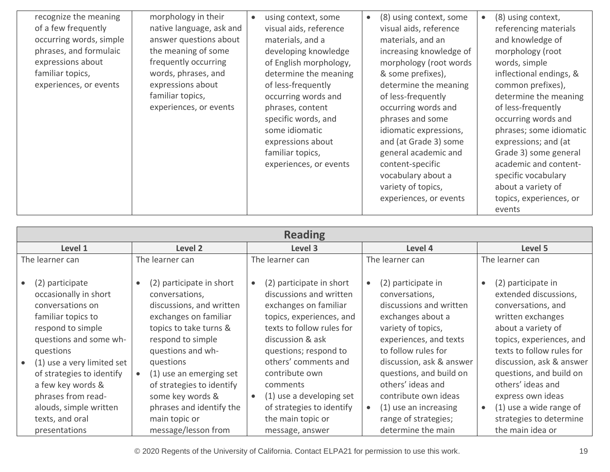| recognize the meaning<br>of a few frequently<br>occurring words, simple<br>phrases, and formulaic<br>expressions about<br>familiar topics,<br>experiences, or events | morphology in their<br>native language, ask and<br>answer questions about<br>the meaning of some<br>frequently occurring<br>words, phrases, and<br>expressions about<br>familiar topics,<br>experiences, or events | using context, some<br>$\bullet$<br>visual aids, reference<br>materials, and a<br>developing knowledge<br>of English morphology,<br>determine the meaning<br>of less-frequently<br>occurring words and<br>phrases, content<br>specific words, and<br>some idiomatic<br>expressions about<br>familiar topics,<br>experiences, or events | (8) using context, some<br>$\bullet$<br>visual aids, reference<br>materials, and an<br>increasing knowledge of<br>morphology (root words<br>& some prefixes),<br>determine the meaning<br>of less-frequently<br>occurring words and<br>phrases and some<br>idiomatic expressions,<br>and (at Grade 3) some<br>general academic and<br>content-specific<br>vocabulary about a<br>variety of topics,<br>experiences, or events | (8) using context,<br>referencing materials<br>and knowledge of<br>morphology (root<br>words, simple<br>inflectional endings, &<br>common prefixes),<br>determine the meaning<br>of less-frequently<br>occurring words and<br>phrases; some idiomatic<br>expressions; and (at<br>Grade 3) some general<br>academic and content-<br>specific vocabulary<br>about a variety of<br>topics, experiences, or |
|----------------------------------------------------------------------------------------------------------------------------------------------------------------------|--------------------------------------------------------------------------------------------------------------------------------------------------------------------------------------------------------------------|----------------------------------------------------------------------------------------------------------------------------------------------------------------------------------------------------------------------------------------------------------------------------------------------------------------------------------------|------------------------------------------------------------------------------------------------------------------------------------------------------------------------------------------------------------------------------------------------------------------------------------------------------------------------------------------------------------------------------------------------------------------------------|---------------------------------------------------------------------------------------------------------------------------------------------------------------------------------------------------------------------------------------------------------------------------------------------------------------------------------------------------------------------------------------------------------|
|----------------------------------------------------------------------------------------------------------------------------------------------------------------------|--------------------------------------------------------------------------------------------------------------------------------------------------------------------------------------------------------------------|----------------------------------------------------------------------------------------------------------------------------------------------------------------------------------------------------------------------------------------------------------------------------------------------------------------------------------------|------------------------------------------------------------------------------------------------------------------------------------------------------------------------------------------------------------------------------------------------------------------------------------------------------------------------------------------------------------------------------------------------------------------------------|---------------------------------------------------------------------------------------------------------------------------------------------------------------------------------------------------------------------------------------------------------------------------------------------------------------------------------------------------------------------------------------------------------|

| <b>Reading</b>                                                                                                                                                                                                                                                                                    |                                                                                                                                                                                                                                                                                                           |                                                                                                                                                                                                                                                                                                                                                  |                                                                                                                                                                                                                                                                                                                                            |                                                                                                                                                                                                                                                                                                                                                        |  |  |
|---------------------------------------------------------------------------------------------------------------------------------------------------------------------------------------------------------------------------------------------------------------------------------------------------|-----------------------------------------------------------------------------------------------------------------------------------------------------------------------------------------------------------------------------------------------------------------------------------------------------------|--------------------------------------------------------------------------------------------------------------------------------------------------------------------------------------------------------------------------------------------------------------------------------------------------------------------------------------------------|--------------------------------------------------------------------------------------------------------------------------------------------------------------------------------------------------------------------------------------------------------------------------------------------------------------------------------------------|--------------------------------------------------------------------------------------------------------------------------------------------------------------------------------------------------------------------------------------------------------------------------------------------------------------------------------------------------------|--|--|
| Level 1                                                                                                                                                                                                                                                                                           | Level 2                                                                                                                                                                                                                                                                                                   | Level 3                                                                                                                                                                                                                                                                                                                                          | Level 4                                                                                                                                                                                                                                                                                                                                    | Level 5                                                                                                                                                                                                                                                                                                                                                |  |  |
| The learner can                                                                                                                                                                                                                                                                                   | The learner can                                                                                                                                                                                                                                                                                           | The learner can                                                                                                                                                                                                                                                                                                                                  | The learner can                                                                                                                                                                                                                                                                                                                            | The learner can                                                                                                                                                                                                                                                                                                                                        |  |  |
| (2) participate<br>occasionally in short<br>conversations on<br>familiar topics to<br>respond to simple<br>questions and some wh-<br>questions<br>(1) use a very limited set<br>of strategies to identify<br>a few key words &<br>phrases from read-<br>alouds, simple written<br>texts, and oral | (2) participate in short<br>conversations,<br>discussions, and written<br>exchanges on familiar<br>topics to take turns &<br>respond to simple<br>questions and wh-<br>questions<br>(1) use an emerging set<br>of strategies to identify<br>some key words &<br>phrases and identify the<br>main topic or | (2) participate in short<br>$\bullet$<br>discussions and written<br>exchanges on familiar<br>topics, experiences, and<br>texts to follow rules for<br>discussion & ask<br>questions; respond to<br>others' comments and<br>contribute own<br>comments<br>(1) use a developing set<br>$\bullet$<br>of strategies to identify<br>the main topic or | (2) participate in<br>$\bullet$<br>conversations,<br>discussions and written<br>exchanges about a<br>variety of topics,<br>experiences, and texts<br>to follow rules for<br>discussion, ask & answer<br>questions, and build on<br>others' ideas and<br>contribute own ideas<br>(1) use an increasing<br>$\bullet$<br>range of strategies; | (2) participate in<br>$\bullet$<br>extended discussions,<br>conversations, and<br>written exchanges<br>about a variety of<br>topics, experiences, and<br>texts to follow rules for<br>discussion, ask & answer<br>questions, and build on<br>others' ideas and<br>express own ideas<br>(1) use a wide range of<br>$\bullet$<br>strategies to determine |  |  |
| presentations                                                                                                                                                                                                                                                                                     | message/lesson from                                                                                                                                                                                                                                                                                       | message, answer                                                                                                                                                                                                                                                                                                                                  | determine the main                                                                                                                                                                                                                                                                                                                         | the main idea or                                                                                                                                                                                                                                                                                                                                       |  |  |

© 2020 Regents of the University of California. Contact ELPA21 for permission to use this work. 19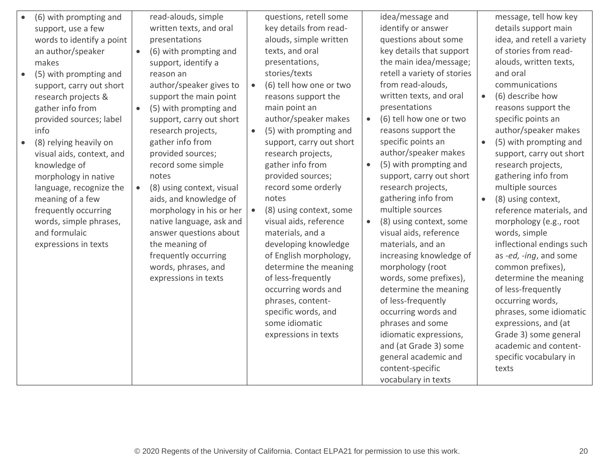| (6) with prompting and<br>support, use a few<br>words to identify a point<br>an author/speaker<br>makes<br>(5) with prompting and<br>support, carry out short<br>research projects &<br>gather info from<br>provided sources; label<br>info<br>(8) relying heavily on<br>visual aids, context, and<br>knowledge of<br>morphology in native<br>language, recognize the<br>meaning of a few<br>frequently occurring<br>words, simple phrases,<br>and formulaic<br>expressions in texts | read-alouds, simple<br>written texts, and oral<br>presentations<br>(6) with prompting and<br>$\bullet$<br>support, identify a<br>reason an<br>author/speaker gives to<br>support the main point<br>(5) with prompting and<br>$\bullet$<br>support, carry out short<br>research projects,<br>gather info from<br>provided sources;<br>record some simple<br>notes<br>(8) using context, visual<br>$\bullet$<br>aids, and knowledge of<br>morphology in his or her<br>native language, ask and<br>answer questions about<br>the meaning of<br>frequently occurring<br>words, phrases, and<br>expressions in texts | $\bullet$ | questions, retell some<br>key details from read-<br>alouds, simple written<br>texts, and oral<br>presentations,<br>stories/texts<br>(6) tell how one or two<br>reasons support the<br>main point an<br>author/speaker makes<br>(5) with prompting and<br>support, carry out short<br>research projects,<br>gather info from<br>provided sources;<br>record some orderly<br>notes<br>(8) using context, some<br>visual aids, reference<br>materials, and a<br>developing knowledge<br>of English morphology,<br>determine the meaning<br>of less-frequently<br>occurring words and<br>phrases, content-<br>specific words, and<br>some idiomatic<br>expressions in texts | $\bullet$<br>$\bullet$<br>$\bullet$ | idea/message and<br>identify or answer<br>questions about some<br>key details that support<br>the main idea/message;<br>retell a variety of stories<br>from read-alouds,<br>written texts, and oral<br>presentations<br>(6) tell how one or two<br>reasons support the<br>specific points an<br>author/speaker makes<br>(5) with prompting and<br>support, carry out short<br>research projects,<br>gathering info from<br>multiple sources<br>(8) using context, some<br>visual aids, reference<br>materials, and an<br>increasing knowledge of<br>morphology (root<br>words, some prefixes),<br>determine the meaning<br>of less-frequently<br>occurring words and<br>phrases and some<br>idiomatic expressions,<br>and (at Grade 3) some<br>general academic and<br>content-specific | $\bullet$ | message, tell how key<br>details support main<br>idea, and retell a variety<br>of stories from read-<br>alouds, written texts,<br>and oral<br>communications<br>(6) describe how<br>reasons support the<br>specific points an<br>author/speaker makes<br>(5) with prompting and<br>support, carry out short<br>research projects,<br>gathering info from<br>multiple sources<br>(8) using context,<br>reference materials, and<br>morphology (e.g., root<br>words, simple<br>inflectional endings such<br>as -ed, -ing, and some<br>common prefixes),<br>determine the meaning<br>of less-frequently<br>occurring words,<br>phrases, some idiomatic<br>expressions, and (at<br>Grade 3) some general<br>academic and content-<br>specific vocabulary in<br>texts |
|--------------------------------------------------------------------------------------------------------------------------------------------------------------------------------------------------------------------------------------------------------------------------------------------------------------------------------------------------------------------------------------------------------------------------------------------------------------------------------------|-----------------------------------------------------------------------------------------------------------------------------------------------------------------------------------------------------------------------------------------------------------------------------------------------------------------------------------------------------------------------------------------------------------------------------------------------------------------------------------------------------------------------------------------------------------------------------------------------------------------|-----------|-------------------------------------------------------------------------------------------------------------------------------------------------------------------------------------------------------------------------------------------------------------------------------------------------------------------------------------------------------------------------------------------------------------------------------------------------------------------------------------------------------------------------------------------------------------------------------------------------------------------------------------------------------------------------|-------------------------------------|-----------------------------------------------------------------------------------------------------------------------------------------------------------------------------------------------------------------------------------------------------------------------------------------------------------------------------------------------------------------------------------------------------------------------------------------------------------------------------------------------------------------------------------------------------------------------------------------------------------------------------------------------------------------------------------------------------------------------------------------------------------------------------------------|-----------|------------------------------------------------------------------------------------------------------------------------------------------------------------------------------------------------------------------------------------------------------------------------------------------------------------------------------------------------------------------------------------------------------------------------------------------------------------------------------------------------------------------------------------------------------------------------------------------------------------------------------------------------------------------------------------------------------------------------------------------------------------------|
|                                                                                                                                                                                                                                                                                                                                                                                                                                                                                      |                                                                                                                                                                                                                                                                                                                                                                                                                                                                                                                                                                                                                 |           |                                                                                                                                                                                                                                                                                                                                                                                                                                                                                                                                                                                                                                                                         |                                     | vocabulary in texts                                                                                                                                                                                                                                                                                                                                                                                                                                                                                                                                                                                                                                                                                                                                                                     |           |                                                                                                                                                                                                                                                                                                                                                                                                                                                                                                                                                                                                                                                                                                                                                                  |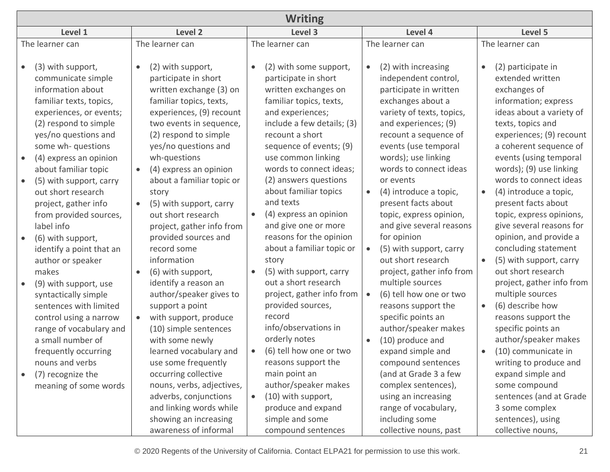| <b>Writing</b>                                                                                                                                                                                                                                                                                                                                                                                                                                                                                                                                                                                   |                                                                                                                                                                                                                                                                                                                                                                                                                                                                                                                                                                                                                                                 |                                                                                                                                                                                                                                                                                                                                                                                                                                                                                                                                                                                                           |                                                                                                                                                                                                                                                                                                                                                                                                                                                                                                                                                                                                             |                                                                                                                                                                                                                                                                                                                                                                                                                                                                                                                                                                                                                                                      |  |  |
|--------------------------------------------------------------------------------------------------------------------------------------------------------------------------------------------------------------------------------------------------------------------------------------------------------------------------------------------------------------------------------------------------------------------------------------------------------------------------------------------------------------------------------------------------------------------------------------------------|-------------------------------------------------------------------------------------------------------------------------------------------------------------------------------------------------------------------------------------------------------------------------------------------------------------------------------------------------------------------------------------------------------------------------------------------------------------------------------------------------------------------------------------------------------------------------------------------------------------------------------------------------|-----------------------------------------------------------------------------------------------------------------------------------------------------------------------------------------------------------------------------------------------------------------------------------------------------------------------------------------------------------------------------------------------------------------------------------------------------------------------------------------------------------------------------------------------------------------------------------------------------------|-------------------------------------------------------------------------------------------------------------------------------------------------------------------------------------------------------------------------------------------------------------------------------------------------------------------------------------------------------------------------------------------------------------------------------------------------------------------------------------------------------------------------------------------------------------------------------------------------------------|------------------------------------------------------------------------------------------------------------------------------------------------------------------------------------------------------------------------------------------------------------------------------------------------------------------------------------------------------------------------------------------------------------------------------------------------------------------------------------------------------------------------------------------------------------------------------------------------------------------------------------------------------|--|--|
| Level 1                                                                                                                                                                                                                                                                                                                                                                                                                                                                                                                                                                                          | Level 2                                                                                                                                                                                                                                                                                                                                                                                                                                                                                                                                                                                                                                         | Level 3                                                                                                                                                                                                                                                                                                                                                                                                                                                                                                                                                                                                   | Level 4                                                                                                                                                                                                                                                                                                                                                                                                                                                                                                                                                                                                     | Level 5                                                                                                                                                                                                                                                                                                                                                                                                                                                                                                                                                                                                                                              |  |  |
| The learner can                                                                                                                                                                                                                                                                                                                                                                                                                                                                                                                                                                                  | The learner can                                                                                                                                                                                                                                                                                                                                                                                                                                                                                                                                                                                                                                 | The learner can                                                                                                                                                                                                                                                                                                                                                                                                                                                                                                                                                                                           | The learner can                                                                                                                                                                                                                                                                                                                                                                                                                                                                                                                                                                                             | The learner can                                                                                                                                                                                                                                                                                                                                                                                                                                                                                                                                                                                                                                      |  |  |
| (3) with support,<br>communicate simple<br>information about<br>familiar texts, topics,<br>experiences, or events;<br>(2) respond to simple<br>yes/no questions and<br>some wh- questions<br>(4) express an opinion<br>about familiar topic<br>(5) with support, carry<br>out short research<br>project, gather info<br>from provided sources,<br>label info<br>(6) with support,<br>identify a point that an<br>author or speaker<br>makes<br>(9) with support, use<br>syntactically simple<br>sentences with limited<br>control using a narrow<br>range of vocabulary and<br>a small number of | (2) with support,<br>$\bullet$<br>participate in short<br>written exchange (3) on<br>familiar topics, texts,<br>experiences, (9) recount<br>two events in sequence,<br>(2) respond to simple<br>yes/no questions and<br>wh-questions<br>(4) express an opinion<br>$\bullet$<br>about a familiar topic or<br>story<br>(5) with support, carry<br>$\bullet$<br>out short research<br>project, gather info from<br>provided sources and<br>record some<br>information<br>(6) with support,<br>identify a reason an<br>author/speaker gives to<br>support a point<br>with support, produce<br>$\bullet$<br>(10) simple sentences<br>with some newly | (2) with some support,<br>participate in short<br>written exchanges on<br>familiar topics, texts,<br>and experiences;<br>include a few details; (3)<br>recount a short<br>sequence of events; (9)<br>use common linking<br>words to connect ideas;<br>(2) answers questions<br>about familiar topics<br>and texts<br>(4) express an opinion<br>$\bullet$<br>and give one or more<br>reasons for the opinion<br>about a familiar topic or<br>story<br>(5) with support, carry<br>out a short research<br>project, gather info from<br>provided sources,<br>record<br>info/observations in<br>orderly notes | (2) with increasing<br>independent control,<br>participate in written<br>exchanges about a<br>variety of texts, topics,<br>and experiences; (9)<br>recount a sequence of<br>events (use temporal<br>words); use linking<br>words to connect ideas<br>or events<br>(4) introduce a topic,<br>present facts about<br>topic, express opinion,<br>and give several reasons<br>for opinion<br>(5) with support, carry<br>out short research<br>project, gather info from<br>multiple sources<br>(6) tell how one or two<br>reasons support the<br>specific points an<br>author/speaker makes<br>(10) produce and | (2) participate in<br>extended written<br>exchanges of<br>information; express<br>ideas about a variety of<br>texts, topics and<br>experiences; (9) recount<br>a coherent sequence of<br>events (using temporal<br>words); (9) use linking<br>words to connect ideas<br>(4) introduce a topic,<br>present facts about<br>topic, express opinions,<br>give several reasons for<br>opinion, and provide a<br>concluding statement<br>(5) with support, carry<br>$\bullet$<br>out short research<br>project, gather info from<br>multiple sources<br>(6) describe how<br>$\bullet$<br>reasons support the<br>specific points an<br>author/speaker makes |  |  |
| frequently occurring<br>nouns and verbs<br>(7) recognize the<br>meaning of some words                                                                                                                                                                                                                                                                                                                                                                                                                                                                                                            | learned vocabulary and<br>use some frequently<br>occurring collective<br>nouns, verbs, adjectives,<br>adverbs, conjunctions<br>and linking words while                                                                                                                                                                                                                                                                                                                                                                                                                                                                                          | (6) tell how one or two<br>$\bullet$<br>reasons support the<br>main point an<br>author/speaker makes<br>(10) with support,<br>$\bullet$<br>produce and expand                                                                                                                                                                                                                                                                                                                                                                                                                                             | expand simple and<br>compound sentences<br>(and at Grade 3 a few<br>complex sentences),<br>using an increasing<br>range of vocabulary,                                                                                                                                                                                                                                                                                                                                                                                                                                                                      | (10) communicate in<br>$\bullet$<br>writing to produce and<br>expand simple and<br>some compound<br>sentences (and at Grade<br>3 some complex                                                                                                                                                                                                                                                                                                                                                                                                                                                                                                        |  |  |
|                                                                                                                                                                                                                                                                                                                                                                                                                                                                                                                                                                                                  | showing an increasing<br>awareness of informal                                                                                                                                                                                                                                                                                                                                                                                                                                                                                                                                                                                                  | simple and some<br>compound sentences                                                                                                                                                                                                                                                                                                                                                                                                                                                                                                                                                                     | including some<br>collective nouns, past                                                                                                                                                                                                                                                                                                                                                                                                                                                                                                                                                                    | sentences), using<br>collective nouns,                                                                                                                                                                                                                                                                                                                                                                                                                                                                                                                                                                                                               |  |  |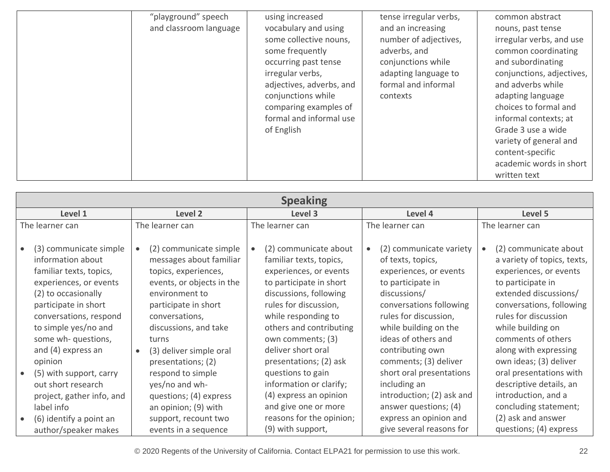| "playground" speech<br>and classroom language | using increased<br>vocabulary and using<br>some collective nouns,<br>some frequently<br>occurring past tense<br>irregular verbs,<br>adjectives, adverbs, and<br>conjunctions while<br>comparing examples of<br>formal and informal use<br>of English | tense irregular verbs,<br>and an increasing<br>number of adjectives,<br>adverbs, and<br>conjunctions while<br>adapting language to<br>formal and informal<br>contexts | common abstract<br>nouns, past tense<br>irregular verbs, and use<br>common coordinating<br>and subordinating<br>conjunctions, adjectives,<br>and adverbs while<br>adapting language<br>choices to formal and<br>informal contexts; at<br>Grade 3 use a wide<br>variety of general and<br>content-specific<br>academic words in short<br>written text |
|-----------------------------------------------|------------------------------------------------------------------------------------------------------------------------------------------------------------------------------------------------------------------------------------------------------|-----------------------------------------------------------------------------------------------------------------------------------------------------------------------|------------------------------------------------------------------------------------------------------------------------------------------------------------------------------------------------------------------------------------------------------------------------------------------------------------------------------------------------------|
|-----------------------------------------------|------------------------------------------------------------------------------------------------------------------------------------------------------------------------------------------------------------------------------------------------------|-----------------------------------------------------------------------------------------------------------------------------------------------------------------------|------------------------------------------------------------------------------------------------------------------------------------------------------------------------------------------------------------------------------------------------------------------------------------------------------------------------------------------------------|

| <b>Speaking</b>                                                                                                                                                                                                                       |                                                                                                                                                                                                      |                                                                                                                                                                                                                                 |                                                                                                                                                                                                                 |                                                                                                                                                                                                                             |  |
|---------------------------------------------------------------------------------------------------------------------------------------------------------------------------------------------------------------------------------------|------------------------------------------------------------------------------------------------------------------------------------------------------------------------------------------------------|---------------------------------------------------------------------------------------------------------------------------------------------------------------------------------------------------------------------------------|-----------------------------------------------------------------------------------------------------------------------------------------------------------------------------------------------------------------|-----------------------------------------------------------------------------------------------------------------------------------------------------------------------------------------------------------------------------|--|
| Level 1                                                                                                                                                                                                                               | Level 2                                                                                                                                                                                              | Level 3                                                                                                                                                                                                                         | Level 4                                                                                                                                                                                                         | Level 5                                                                                                                                                                                                                     |  |
| The learner can                                                                                                                                                                                                                       | The learner can                                                                                                                                                                                      | The learner can                                                                                                                                                                                                                 | The learner can                                                                                                                                                                                                 | The learner can                                                                                                                                                                                                             |  |
| (3) communicate simple<br>$\bullet$<br>information about<br>familiar texts, topics,<br>experiences, or events<br>(2) to occasionally<br>participate in short<br>conversations, respond<br>to simple yes/no and<br>some wh- questions, | (2) communicate simple<br>messages about familiar<br>topics, experiences,<br>events, or objects in the<br>environment to<br>participate in short<br>conversations,<br>discussions, and take<br>turns | (2) communicate about<br>familiar texts, topics,<br>experiences, or events<br>to participate in short<br>discussions, following<br>rules for discussion,<br>while responding to<br>others and contributing<br>own comments; (3) | (2) communicate variety<br>of texts, topics,<br>experiences, or events<br>to participate in<br>discussions/<br>conversations following<br>rules for discussion,<br>while building on the<br>ideas of others and | (2) communicate about<br>a variety of topics, texts,<br>experiences, or events<br>to participate in<br>extended discussions/<br>conversations, following<br>rules for discussion<br>while building on<br>comments of others |  |
| and (4) express an<br>opinion<br>(5) with support, carry<br>$\bullet$<br>out short research<br>project, gather info, and<br>label info                                                                                                | (3) deliver simple oral<br>$\bullet$<br>presentations; (2)<br>respond to simple<br>yes/no and wh-<br>questions; (4) express<br>an opinion; (9) with                                                  | deliver short oral<br>presentations; (2) ask<br>questions to gain<br>information or clarify;<br>(4) express an opinion<br>and give one or more                                                                                  | contributing own<br>comments; (3) deliver<br>short oral presentations<br>including an<br>introduction; (2) ask and<br>answer questions; (4)                                                                     | along with expressing<br>own ideas; (3) deliver<br>oral presentations with<br>descriptive details, an<br>introduction, and a<br>concluding statement;                                                                       |  |
| (6) identify a point an<br>$\bullet$<br>author/speaker makes                                                                                                                                                                          | support, recount two<br>events in a sequence                                                                                                                                                         | reasons for the opinion;<br>(9) with support,                                                                                                                                                                                   | express an opinion and<br>give several reasons for                                                                                                                                                              | (2) ask and answer<br>questions; (4) express                                                                                                                                                                                |  |

© 2020 Regents of the University of California. Contact ELPA21 for permission to use this work. 22